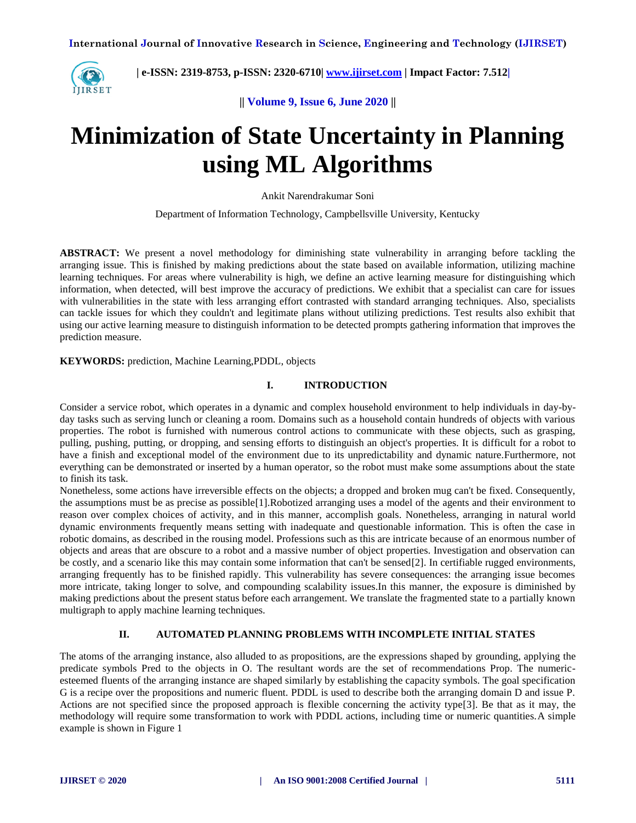

 **| e-ISSN: 2319-8753, p-ISSN: 2320-6710| [www.ijirset.com](http://www.ijirset.com/) | Impact Factor: 7.512|**

**|| Volume 9, Issue 6, June 2020 ||**

# **Minimization of State Uncertainty in Planning using ML Algorithms**

Ankit Narendrakumar Soni

Department of Information Technology, Campbellsville University, Kentucky

**ABSTRACT:** We present a novel methodology for diminishing state vulnerability in arranging before tackling the arranging issue. This is finished by making predictions about the state based on available information, utilizing machine learning techniques. For areas where vulnerability is high, we define an active learning measure for distinguishing which information, when detected, will best improve the accuracy of predictions. We exhibit that a specialist can care for issues with vulnerabilities in the state with less arranging effort contrasted with standard arranging techniques. Also, specialists can tackle issues for which they couldn't and legitimate plans without utilizing predictions. Test results also exhibit that using our active learning measure to distinguish information to be detected prompts gathering information that improves the prediction measure.

**KEYWORDS:** prediction, Machine Learning,PDDL, objects

# **I. INTRODUCTION**

Consider a service robot, which operates in a dynamic and complex household environment to help individuals in day-byday tasks such as serving lunch or cleaning a room. Domains such as a household contain hundreds of objects with various properties. The robot is furnished with numerous control actions to communicate with these objects, such as grasping, pulling, pushing, putting, or dropping, and sensing efforts to distinguish an object's properties. It is difficult for a robot to have a finish and exceptional model of the environment due to its unpredictability and dynamic nature.Furthermore, not everything can be demonstrated or inserted by a human operator, so the robot must make some assumptions about the state to finish its task.

Nonetheless, some actions have irreversible effects on the objects; a dropped and broken mug can't be fixed. Consequently, the assumptions must be as precise as possible[1].Robotized arranging uses a model of the agents and their environment to reason over complex choices of activity, and in this manner, accomplish goals. Nonetheless, arranging in natural world dynamic environments frequently means setting with inadequate and questionable information. This is often the case in robotic domains, as described in the rousing model. Professions such as this are intricate because of an enormous number of objects and areas that are obscure to a robot and a massive number of object properties. Investigation and observation can be costly, and a scenario like this may contain some information that can't be sensed[2]. In certifiable rugged environments, arranging frequently has to be finished rapidly. This vulnerability has severe consequences: the arranging issue becomes more intricate, taking longer to solve, and compounding scalability issues.In this manner, the exposure is diminished by making predictions about the present status before each arrangement. We translate the fragmented state to a partially known multigraph to apply machine learning techniques.

# **II. AUTOMATED PLANNING PROBLEMS WITH INCOMPLETE INITIAL STATES**

The atoms of the arranging instance, also alluded to as propositions, are the expressions shaped by grounding, applying the predicate symbols Pred to the objects in O. The resultant words are the set of recommendations Prop. The numericesteemed fluents of the arranging instance are shaped similarly by establishing the capacity symbols. The goal specification G is a recipe over the propositions and numeric fluent. PDDL is used to describe both the arranging domain D and issue P. Actions are not specified since the proposed approach is flexible concerning the activity type[3]. Be that as it may, the methodology will require some transformation to work with PDDL actions, including time or numeric quantities.A simple example is shown in Figure 1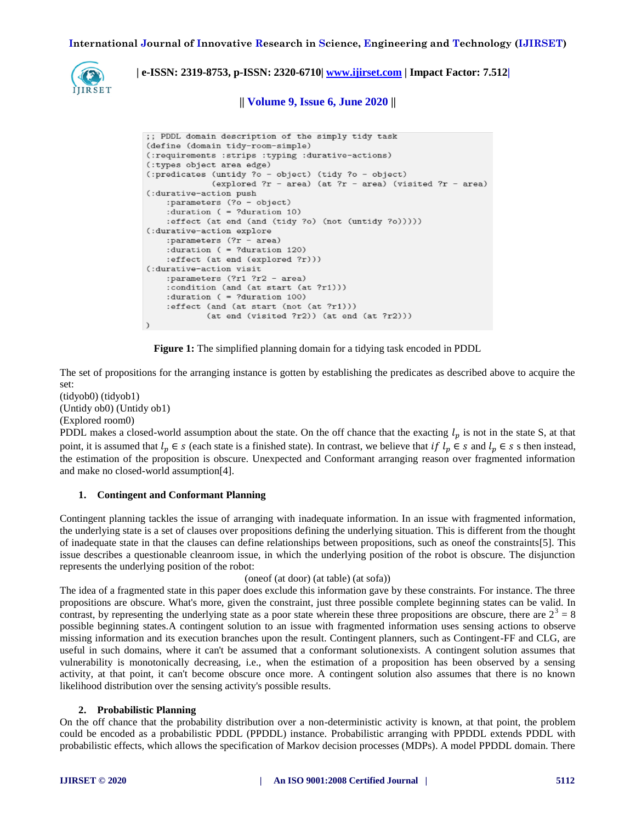**International Journal of Innovative Research in Science, Engineering and Technology (IJIRSET)**



# **| e-ISSN: 2319-8753, p-ISSN: 2320-6710| [www.ijirset.com](http://www.ijirset.com/) | Impact Factor: 7.512|**

**|| Volume 9, Issue 6, June 2020 ||**

```
;; PDDL domain description of the simply tidy task
(define (domain tidy-room-simple)
(:requirements :strips :typing :durative-actions)
(:types object area edge)
(:predicates (untidy ?o - object) (tidy ?o - object)
             (explored ?r - area) (at ?r - area) (visited ?r - area)
(:durative-action push
    :parameters (?o - object)
    : duration ( = ? duration 10)
    :effect (at end (and (tidy ?o) (not (untidy ?o)))))
(:durative-action explore
    :parameters (?r - area)
    : duration ( = ? duration 120)
    :effect (at end (explored ?r)))
(:durative-action visit
    :parameters (?r1 ?r2 - area)
    :condition (and (at start (at ?r1)))
    : duration ( = ? duration 100)
    :effect (and (at start (not (at ?r1)))
            (at end (visited ?r2)) (at end (at ?r2)))
\mathcal{L}
```
**Figure 1:** The simplified planning domain for a tidying task encoded in PDDL

The set of propositions for the arranging instance is gotten by establishing the predicates as described above to acquire the set:

(tidyob0) (tidyob1) (Untidy ob0) (Untidy ob1) (Explored room0)

PDDL makes a closed-world assumption about the state. On the off chance that the exacting  $l_p$  is not in the state S, at that point, it is assumed that  $l_n \in s$  (each state is a finished state). In contrast, we believe that if  $l_n \in s$  and  $l_n \in s$  s then instead, the estimation of the proposition is obscure. Unexpected and Conformant arranging reason over fragmented information and make no closed-world assumption[4].

## **1. Contingent and Conformant Planning**

Contingent planning tackles the issue of arranging with inadequate information. In an issue with fragmented information, the underlying state is a set of clauses over propositions defining the underlying situation. This is different from the thought of inadequate state in that the clauses can define relationships between propositions, such as oneof the constraints[5]. This issue describes a questionable cleanroom issue, in which the underlying position of the robot is obscure. The disjunction represents the underlying position of the robot:

#### (oneof (at door) (at table) (at sofa))

The idea of a fragmented state in this paper does exclude this information gave by these constraints. For instance. The three propositions are obscure. What's more, given the constraint, just three possible complete beginning states can be valid. In contrast, by representing the underlying state as a poor state wherein these three propositions are obscure, there are  $2^3 = 8$ possible beginning states.A contingent solution to an issue with fragmented information uses sensing actions to observe missing information and its execution branches upon the result. Contingent planners, such as Contingent-FF and CLG, are useful in such domains, where it can't be assumed that a conformant solutionexists. A contingent solution assumes that vulnerability is monotonically decreasing, i.e., when the estimation of a proposition has been observed by a sensing activity, at that point, it can't become obscure once more. A contingent solution also assumes that there is no known likelihood distribution over the sensing activity's possible results.

#### **2. Probabilistic Planning**

On the off chance that the probability distribution over a non-deterministic activity is known, at that point, the problem could be encoded as a probabilistic PDDL (PPDDL) instance. Probabilistic arranging with PPDDL extends PDDL with probabilistic effects, which allows the specification of Markov decision processes (MDPs). A model PPDDL domain. There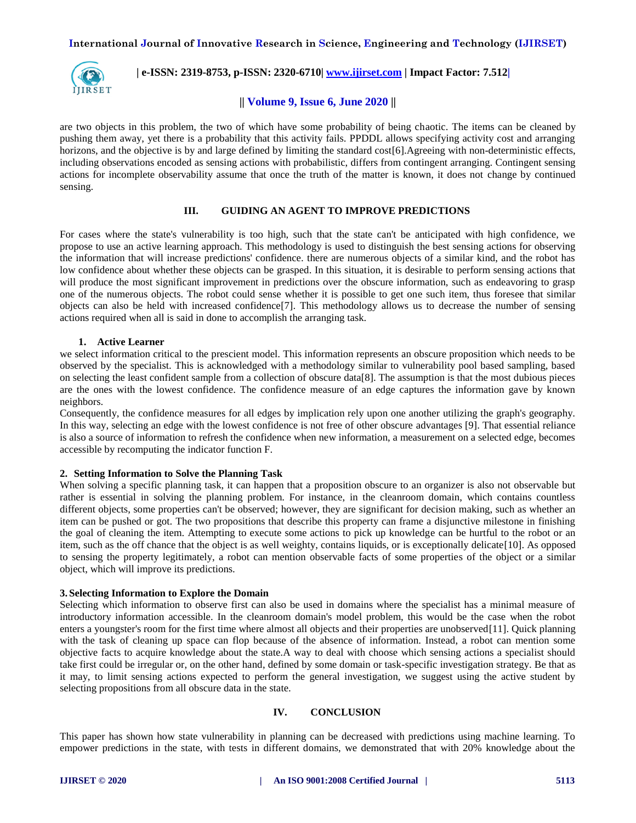# **International Journal of Innovative Research in Science, Engineering and Technology (IJIRSET)**



 **| e-ISSN: 2319-8753, p-ISSN: 2320-6710| [www.ijirset.com](http://www.ijirset.com/) | Impact Factor: 7.512|**

## **|| Volume 9, Issue 6, June 2020 ||**

are two objects in this problem, the two of which have some probability of being chaotic. The items can be cleaned by pushing them away, yet there is a probability that this activity fails. PPDDL allows specifying activity cost and arranging horizons, and the objective is by and large defined by limiting the standard cost [6]. Agreeing with non-deterministic effects, including observations encoded as sensing actions with probabilistic, differs from contingent arranging. Contingent sensing actions for incomplete observability assume that once the truth of the matter is known, it does not change by continued sensing.

## **III. GUIDING AN AGENT TO IMPROVE PREDICTIONS**

For cases where the state's vulnerability is too high, such that the state can't be anticipated with high confidence, we propose to use an active learning approach. This methodology is used to distinguish the best sensing actions for observing the information that will increase predictions' confidence. there are numerous objects of a similar kind, and the robot has low confidence about whether these objects can be grasped. In this situation, it is desirable to perform sensing actions that will produce the most significant improvement in predictions over the obscure information, such as endeavoring to grasp one of the numerous objects. The robot could sense whether it is possible to get one such item, thus foresee that similar objects can also be held with increased confidence[7]. This methodology allows us to decrease the number of sensing actions required when all is said in done to accomplish the arranging task.

## **1. Active Learner**

we select information critical to the prescient model. This information represents an obscure proposition which needs to be observed by the specialist. This is acknowledged with a methodology similar to vulnerability pool based sampling, based on selecting the least confident sample from a collection of obscure data[8]. The assumption is that the most dubious pieces are the ones with the lowest confidence. The confidence measure of an edge captures the information gave by known neighbors.

Consequently, the confidence measures for all edges by implication rely upon one another utilizing the graph's geography. In this way, selecting an edge with the lowest confidence is not free of other obscure advantages [9]. That essential reliance is also a source of information to refresh the confidence when new information, a measurement on a selected edge, becomes accessible by recomputing the indicator function F.

#### **2. Setting Information to Solve the Planning Task**

When solving a specific planning task, it can happen that a proposition obscure to an organizer is also not observable but rather is essential in solving the planning problem. For instance, in the cleanroom domain, which contains countless different objects, some properties can't be observed; however, they are significant for decision making, such as whether an item can be pushed or got. The two propositions that describe this property can frame a disjunctive milestone in finishing the goal of cleaning the item. Attempting to execute some actions to pick up knowledge can be hurtful to the robot or an item, such as the off chance that the object is as well weighty, contains liquids, or is exceptionally delicate[10]. As opposed to sensing the property legitimately, a robot can mention observable facts of some properties of the object or a similar object, which will improve its predictions.

#### **3. Selecting Information to Explore the Domain**

Selecting which information to observe first can also be used in domains where the specialist has a minimal measure of introductory information accessible. In the cleanroom domain's model problem, this would be the case when the robot enters a youngster's room for the first time where almost all objects and their properties are unobserved[11]. Quick planning with the task of cleaning up space can flop because of the absence of information. Instead, a robot can mention some objective facts to acquire knowledge about the state.A way to deal with choose which sensing actions a specialist should take first could be irregular or, on the other hand, defined by some domain or task-specific investigation strategy. Be that as it may, to limit sensing actions expected to perform the general investigation, we suggest using the active student by selecting propositions from all obscure data in the state.

#### **IV. CONCLUSION**

This paper has shown how state vulnerability in planning can be decreased with predictions using machine learning. To empower predictions in the state, with tests in different domains, we demonstrated that with 20% knowledge about the